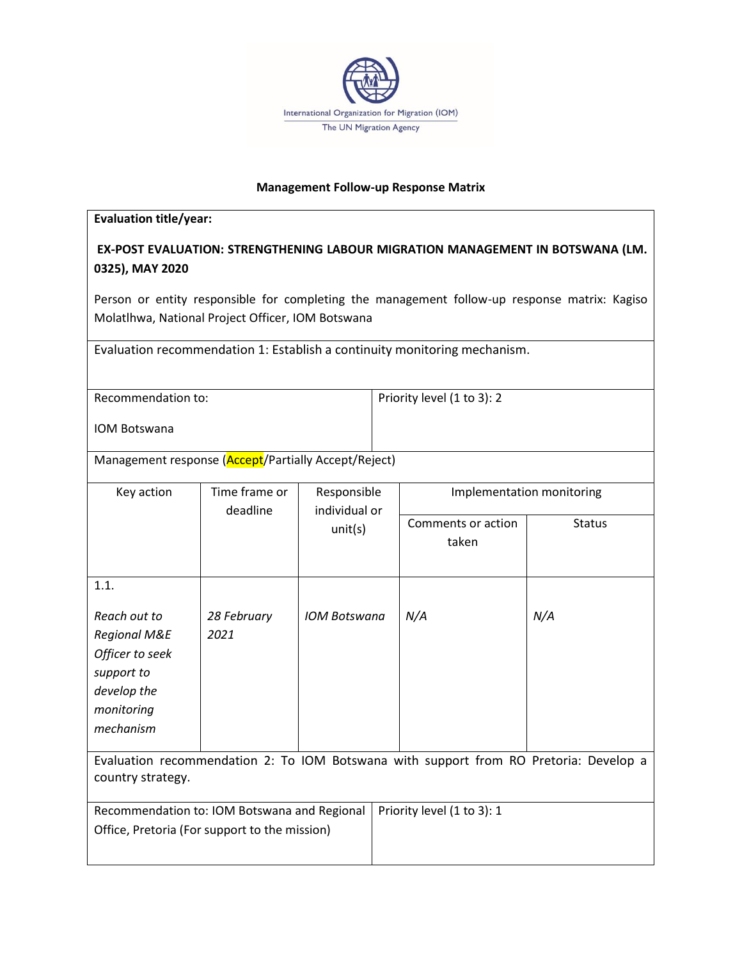

## **Management Follow-up Response Matrix**

## **Evaluation title/year:**

## **EX-POST EVALUATION: STRENGTHENING LABOUR MIGRATION MANAGEMENT IN BOTSWANA (LM. 0325), MAY 2020**

Person or entity responsible for completing the management follow-up response matrix: Kagiso Molatlhwa, National Project Officer, IOM Botswana

Evaluation recommendation 1: Establish a continuity monitoring mechanism.

| Recommendation to:  | Priority level (1 to 3): 2 |
|---------------------|----------------------------|
|                     |                            |
| <b>IOM Botswana</b> |                            |

Management response (Accept/Partially Accept/Reject)

| Key action                                                                            | Time frame or<br>deadline | Responsible<br>individual or |                    | Implementation monitoring |  |
|---------------------------------------------------------------------------------------|---------------------------|------------------------------|--------------------|---------------------------|--|
|                                                                                       |                           | unit(s)                      | Comments or action | <b>Status</b>             |  |
|                                                                                       |                           |                              | taken              |                           |  |
|                                                                                       |                           |                              |                    |                           |  |
| 1.1.                                                                                  |                           |                              |                    |                           |  |
| Reach out to                                                                          | 28 February               | <b>IOM Botswana</b>          | N/A                | N/A                       |  |
| <b>Regional M&amp;E</b>                                                               | 2021                      |                              |                    |                           |  |
| Officer to seek                                                                       |                           |                              |                    |                           |  |
| support to                                                                            |                           |                              |                    |                           |  |
| develop the                                                                           |                           |                              |                    |                           |  |
| monitoring                                                                            |                           |                              |                    |                           |  |
| mechanism                                                                             |                           |                              |                    |                           |  |
| Evaluation recommendation 2: To IOM Botswana with support from RO Pretoria: Develop a |                           |                              |                    |                           |  |
| country strategy.                                                                     |                           |                              |                    |                           |  |
| Priority level (1 to 3): 1<br>Recommendation to: IOM Botswana and Regional            |                           |                              |                    |                           |  |
| Office, Pretoria (For support to the mission)                                         |                           |                              |                    |                           |  |
|                                                                                       |                           |                              |                    |                           |  |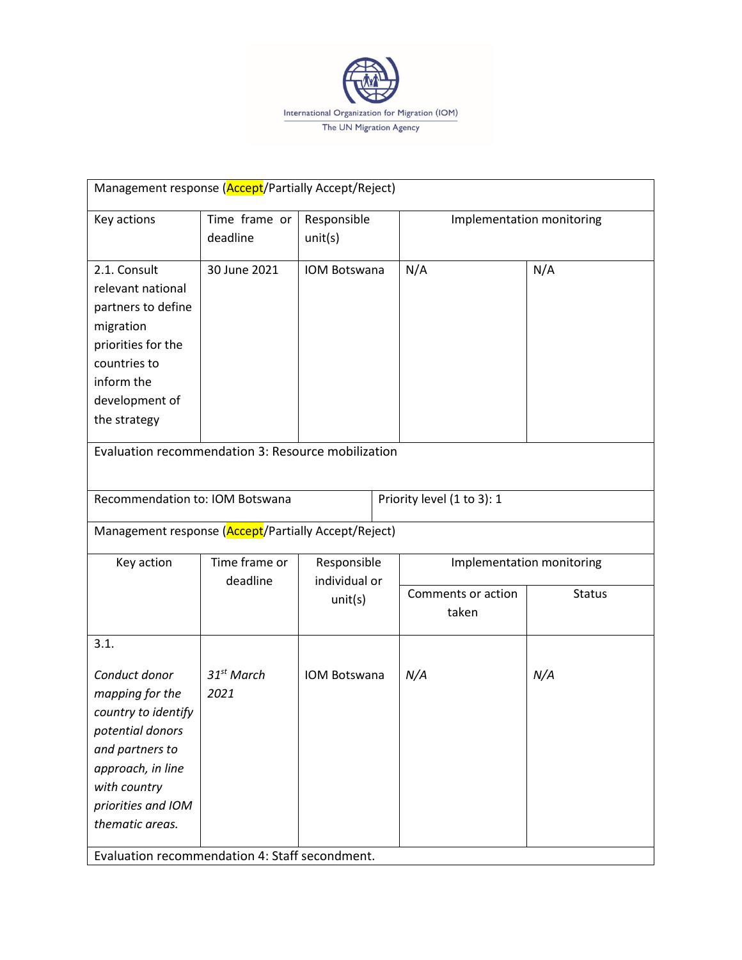